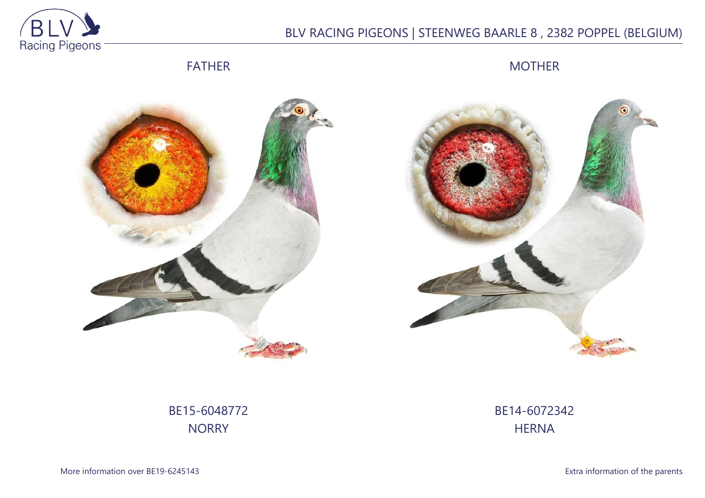

## BLV RACING PIGEONS | STEENWEG BAARLE 8 , 2382 POPPEL (BELGIUM)

FATHER

MOTHER





BE15-6048772 **NORRY** 

BE14-6072342 **HERNA**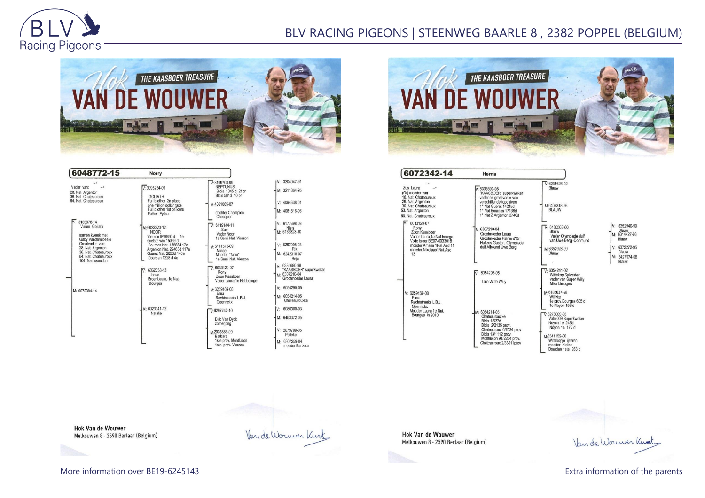

## BLV RACING PIGEONS | STEENWEG BAARLE 8 , 2382 POPPEL (BELGIUM)



| 6048772-15                                                                                                                                                                                                                                                                             | Norry                                                                                                                                                                                                                                                                                                                                                                                                                                 |                                                                                                                                                                                                                                                                                                                                                                                                                                                       |                                                                                                                                                                                                                                                                                                                                         |
|----------------------------------------------------------------------------------------------------------------------------------------------------------------------------------------------------------------------------------------------------------------------------------------|---------------------------------------------------------------------------------------------------------------------------------------------------------------------------------------------------------------------------------------------------------------------------------------------------------------------------------------------------------------------------------------------------------------------------------------|-------------------------------------------------------------------------------------------------------------------------------------------------------------------------------------------------------------------------------------------------------------------------------------------------------------------------------------------------------------------------------------------------------------------------------------------------------|-----------------------------------------------------------------------------------------------------------------------------------------------------------------------------------------------------------------------------------------------------------------------------------------------------------------------------------------|
| Vader van:<br>28. Nat. Argenton<br>36. Nat. Chateauroux<br>64. Nat. Chateauroux<br>3155978-14<br>Vuilen Goliath<br>samen kweek met<br>Gaby Vandenabeele<br>Grootvader van:<br>28. Nat. Argenton<br>36. Nat. Chateauroux<br>64. Nat. Chateauroux<br>104. Nat. Issoudun<br>M: 6072394-14 | $V \cdot 3095224 - 09$<br><b>GOLIATH</b><br>Full brother 2n place<br>one million dollar race<br>Full brother 1st prTours<br>Father Fyther<br>M: 6023320-12<br><b>NOOR</b><br>Vierzon IP 9950 d 1e<br>snelste van 15359 d<br>Bourges Nat. 13588d 17e<br>Argenton Nat. 22463d 117e<br>Gueret Nat. 2656d 146e<br>Dourdan 1228 d 4e<br>$\nabla 6062058-13$<br>Johan<br>Broer Laura, 1e Nat.<br><b>Bourges</b><br>M: 6023341-12<br>Natalie | $V.3199708-99$<br><b>NEPTUNUS</b><br>Blois 1345 d 21pr<br>Blois 581d 10 pr<br>M:4361085-07<br>dochter Champion<br>Checquer<br>$V: 6119144-11$<br>Sam<br>Vader Noor<br>1e Semi Nat. Vierzon<br>M:6111515-09<br>Minoe<br>Moeder "Noor"<br>1e Semi Nat. Vierzon<br>$\overline{V}$ 6033129-07<br>Rony<br>Zoon Kaasboer<br>Vader Laura, 1e Nat.bourge<br>M:6259169-08<br>Ema<br>Rechtstreeks L.B.J.<br>Geerinckx<br>$\nabla 6297742 - 10$<br>Dirk Van Dyck | IV: 3204047-91<br>M: 3211364-95<br>V: 4094638-01<br>M: 4081816-06<br>V: 6177698-08<br>Niels<br>M: 6163823-10<br>V: 6257098-03<br>Rik<br>M: 6242318-07<br>Beia<br>V: 6335690-98<br>"KAASBOER" superkweker<br>M: 6307210-04<br>Grootmoeder Laura<br>V: 6054295-05<br>M: 6054214-05<br>Chateaurouxke<br>6086300-03<br>IV:<br>M: 6453372-05 |
|                                                                                                                                                                                                                                                                                        |                                                                                                                                                                                                                                                                                                                                                                                                                                       | zomerjong<br>M-2035886-09<br>Barbara<br>1ste prov. Montlucon<br>1ste prov. Vierzon                                                                                                                                                                                                                                                                                                                                                                    | V: 2079799-05<br>Polleke<br>M: 6307259-04<br>moeder Barbara                                                                                                                                                                                                                                                                             |



| 6072342-14                                                                                                                                                 | Herna                                                                                                                                                                                |                                                                                                                                                                                                                                  |                                                                                                      |
|------------------------------------------------------------------------------------------------------------------------------------------------------------|--------------------------------------------------------------------------------------------------------------------------------------------------------------------------------------|----------------------------------------------------------------------------------------------------------------------------------------------------------------------------------------------------------------------------------|------------------------------------------------------------------------------------------------------|
| Zus Laura<br>(Gr) moeder van<br>10. Nat. Chateauroux<br>28. Nat. Argenton<br>36. Nat. Chateauroux<br>53. Nat. Argenton<br>60. Nat. Chateauroux             | $V: 6335690-98$<br>"KAASBOER" superkweker<br>vader en grootvader van<br>verschillende topduiven<br>1° Nat Gueret 14245d<br>1° Nat Bourges 17138d<br>1° Nat Z Argenton 3740d          | $V: 6235626 - 92$<br>Blauw<br>M:6404318-96<br><b>BLAUW</b>                                                                                                                                                                       |                                                                                                      |
| 6033129-07<br>Rony<br>Zoon Kaasboer<br>Vader Laura.1e Nat.bourge<br>Volle broer BE07-6033018<br>moeder Amalia 1Nat Asd 11<br>moeder Nikolaas1Nat Asd<br>13 | M: 6307210-04<br>Grootmoeder Laura<br>Grootmoeder Palme d'Or<br>Halfzus Gaston, Olympiade<br>duif Allround Uwe Berg                                                                  | $V· 6480508-00$<br>Blauw<br>Vader Olympiade duif<br>van Uwe Berg -Dortmund<br>M:6352928-99<br>Blauw                                                                                                                              | V: 6352940-99<br>Blauw<br>M: 6314427-98<br>Bluaw<br>V: 6372272-95<br>Blauw<br>M: 6427974-98<br>Blauw |
|                                                                                                                                                            | 6054295-05<br>Late Witte Willy                                                                                                                                                       | $\overline{V}$ 6354241-02<br><b>Wittekop Sylvester</b><br>vader van Super Willy<br>Miss Limoges                                                                                                                                  |                                                                                                      |
| M: 6259169-08<br>Ema<br>Rechtstreeks L.B.J.<br>Geerinckx<br>Moeder Laura 1e Nat.<br>Bourges in 2010                                                        | M: 6054214-05<br>Chateaurouxke<br><b>Blois 1/627d</b><br>Blois 2/2135 prov.<br>Chateauroux 6/2024 prov<br>Blois 13/1112 prov.<br>Montlucon 91/2264 prov.<br>Chateauroux 2/3391 iprov | M:6185637-98<br>Willyke<br>1e prov.Bourges 605 d<br>1e Noyon 156 d<br>$\sqrt{6278009-95}$<br>Vale 009 Superkweker<br>Noyon 1e 245d<br>Noyon 1e 172 d<br>M6541152-00<br>Wittekopje ijzeren<br>moeder Kleine<br>Dourdan 1ste 953 d |                                                                                                      |

Hok Van de Wouwer<br>Melkouwen 8 - 2590 Berlaar (Belgium)

Van de Wouwer Knot

Bluaw 6372272-95 8372272-95<br>Blauw<br>6427974-98<br>Blauw

**Hok Van de Wouwer** Melkouwen 8 - 2590 Berlaar (Belgium)

Van de Wouwer Kurt

More information over BE19-6245143 **Extra information of the parents**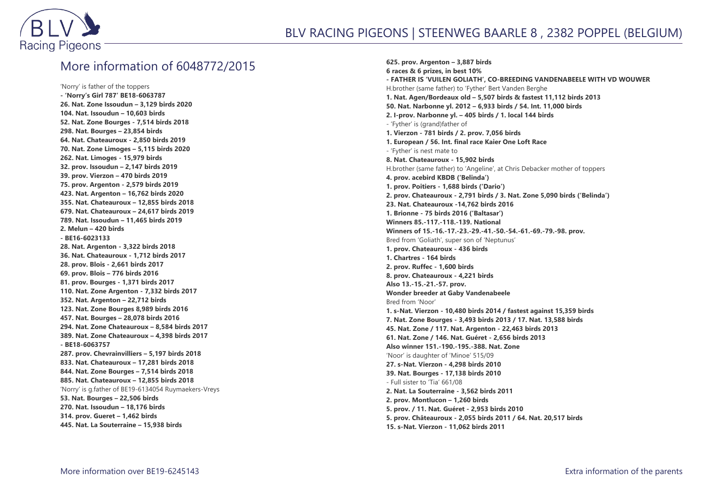

## More information of 6048772/2015

'Norry' is father of the toppers **- 'Norry's Girl 787' BE18-6063787 26. Nat. Zone Issoudun – 3,129 birds 2020 104. Nat. Issoudun – 10,603 birds 52. Nat. Zone Bourges - 7,514 birds 2018 298. Nat. Bourges – 23,854 birds 64. Nat. Chateauroux - 2,850 birds 2019 70. Nat. Zone Limoges – 5,115 birds 2020 262. Nat. Limoges - 15,979 birds 32. prov. Issoudun – 2,147 birds 2019 39. prov. Vierzon – 470 birds 2019 75. prov. Argenton - 2,579 birds 2019 423. Nat. Argenton – 16,762 birds 2020 355. Nat. Chateauroux – 12,855 birds 2018 679. Nat. Chateauroux – 24,617 birds 2019 789. Nat. Issoudun – 11,465 birds 2019 2. Melun – 420 birds - BE16-6023133 28. Nat. Argenton - 3,322 birds 2018 36. Nat. Chateauroux - 1,712 birds 2017 28. prov. Blois - 2,661 birds 2017 69. prov. Blois – 776 birds 2016 81. prov. Bourges - 1,371 birds 2017 110. Nat. Zone Argenton - 7,332 birds 2017 352. Nat. Argenton – 22,712 birds 123. Nat. Zone Bourges 8,989 birds 2016 457. Nat. Bourges – 28,078 birds 2016 294. Nat. Zone Chateauroux – 8,584 birds 2017 389. Nat. Zone Chateauroux – 4,398 birds 2017 - BE18-6063757 287. prov. Chevrainvilliers – 5,197 birds 2018 833. Nat. Chateauroux – 17,281 birds 2018 844. Nat. Zone Bourges – 7,514 birds 2018 885. Nat. Chateauroux – 12,855 birds 2018** 'Norry' is g.father of BE19-6134054 Ruymaekers-Vreys **53. Nat. Bourges – 22,506 birds 270. Nat. Issoudun – 18,176 birds 314. prov. Gueret – 1,462 birds 445. Nat. La Souterraine – 15,938 birds**

**625. prov. Argenton – 3,887 birds 6 races & 6 prizes, in best 10% - FATHER IS 'VUILEN GOLIATH', CO-BREEDING VANDENABEELE WITH VD WOUWER** H.brother (same father) to 'Fyther' Bert Vanden Berghe **1. Nat. Agen/Bordeaux old – 5,507 birds & fastest 11,112 birds 2013 50. Nat. Narbonne yl. 2012 – 6,933 birds / 54. Int. 11,000 birds 2. I-prov. Narbonne yl. – 405 birds / 1. local 144 birds** - 'Fyther' is (grand)father of **1. Vierzon - 781 birds / 2. prov. 7,056 birds 1. European / 56. Int. final race Kaier One Loft Race** - 'Fyther' is nest mate to **8. Nat. Chateauroux - 15,902 birds** H.brother (same father) to 'Angeline', at Chris Debacker mother of toppers **4. prov. acebird KBDB ('Belinda') 1. prov. Poitiers - 1,688 birds ('Dario') 2. prov. Chateauroux - 2,791 birds / 3. Nat. Zone 5,090 birds ('Belinda') 23. Nat. Chateauroux -14,762 birds 2016 1. Brionne - 75 birds 2016 ('Baltasar') Winners 85.-117.-118.-139. National Winners of 15.-16.-17.-23.-29.-41.-50.-54.-61.-69.-79.-98. prov.** Bred from 'Goliath', super son of 'Neptunus' **1. prov. Chateauroux - 436 birds 1. Chartres - 164 birds 2. prov. Ruffec - 1,600 birds 8. prov. Chateauroux - 4,221 birds Also 13.-15.-21.-57. prov. Wonder breeder at Gaby Vandenabeele** Bred from 'Noor' **1. s-Nat. Vierzon - 10,480 birds 2014 / fastest against 15,359 birds 7. Nat. Zone Bourges - 3,493 birds 2013 / 17. Nat. 13,588 birds 45. Nat. Zone / 117. Nat. Argenton - 22,463 birds 2013 61. Nat. Zone / 146. Nat. Guéret - 2,656 birds 2013 Also winner 151.-190.-195.-388. Nat. Zone** 'Noor' is daughter of 'Minoe' 515/09 **27. s-Nat. Vierzon - 4,298 birds 2010 39. Nat. Bourges - 17,138 birds 2010** - Full sister to 'Tia' 661/08 **2. Nat. La Souterraine - 3,562 birds 2011 2. prov. Montlucon – 1,260 birds 5. prov. / 11. Nat. Guéret - 2,953 birds 2010 5. prov. Châteauroux - 2,055 birds 2011 / 64. Nat. 20,517 birds 15. s-Nat. Vierzon - 11,062 birds 2011**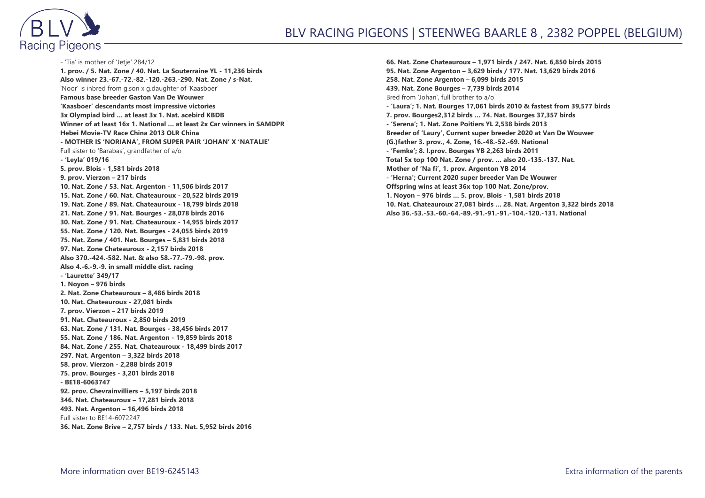

- 'Tia' is mother of 'Jetje' 284/12 **1. prov. / 5. Nat. Zone / 40. Nat. La Souterraine YL - 11,236 birds Also winner 23.-67.-72.-82.-120.-263.-290. Nat. Zone / s-Nat.** 'Noor' is inbred from g.son x g.daughter of 'Kaasboer' **Famous base breeder Gaston Van De Wouwer 'Kaasboer' descendants most impressive victories 3x Olympiad bird … at least 3x 1. Nat. acebird KBDB Winner of at least 16x 1. National … at least 2x Car winners in SAMDPR Hebei Movie-TV Race China 2013 OLR China - MOTHER IS 'NORIANA', FROM SUPER PAIR 'JOHAN' X 'NATALIE'** Full sister to 'Barabas', grandfather of a/o **- 'Leyla' 019/16 5. prov. Blois - 1,581 birds 2018 9. prov. Vierzon – 217 birds 10. Nat. Zone / 53. Nat. Argenton - 11,506 birds 2017 15. Nat. Zone / 60. Nat. Chateauroux - 20,522 birds 2019 19. Nat. Zone / 89. Nat. Chateauroux - 18,799 birds 2018 21. Nat. Zone / 91. Nat. Bourges - 28,078 birds 2016 30. Nat. Zone / 91. Nat. Chateauroux - 14,955 birds 2017 55. Nat. Zone / 120. Nat. Bourges - 24,055 birds 2019 75. Nat. Zone / 401. Nat. Bourges – 5,831 birds 2018 97. Nat. Zone Chateauroux - 2,157 birds 2018 Also 370.-424.-582. Nat. & also 58.-77.-79.-98. prov. Also 4.-6.-9.-9. in small middle dist. racing - 'Laurette' 349/17 1. Noyon – 976 birds 2. Nat. Zone Chateauroux – 8,486 birds 2018 10. Nat. Chateauroux - 27,081 birds 7. prov. Vierzon – 217 birds 2019 91. Nat. Chateauroux - 2,850 birds 2019 63. Nat. Zone / 131. Nat. Bourges - 38,456 birds 2017 55. Nat. Zone / 186. Nat. Argenton - 19,859 birds 2018 84. Nat. Zone / 255. Nat. Chateauroux - 18,499 birds 2017 297. Nat. Argenton – 3,322 birds 2018 58. prov. Vierzon - 2,288 birds 2019 75. prov. Bourges - 3,201 birds 2018 - BE18-6063747 92. prov. Chevrainvilliers – 5,197 birds 2018 346. Nat. Chateauroux – 17,281 birds 2018 493. Nat. Argenton – 16,496 birds 2018** Full sister to BE14-6072247 **36. Nat. Zone Brive – 2,757 birds / 133. Nat. 5,952 birds 2016**

**66. Nat. Zone Chateauroux – 1,971 birds / 247. Nat. 6,850 birds 2015 95. Nat. Zone Argenton – 3,629 birds / 177. Nat. 13,629 birds 2016 258. Nat. Zone Argenton – 6,099 birds 2015 439. Nat. Zone Bourges – 7,739 birds 2014** Bred from 'Johan', full brother to a/o **- 'Laura'; 1. Nat. Bourges 17,061 birds 2010 & fastest from 39,577 birds 7. prov. Bourges2,312 birds … 74. Nat. Bourges 37,357 birds - 'Serena'; 1. Nat. Zone Poitiers YL 2,538 birds 2013 Breeder of 'Laury', Current super breeder 2020 at Van De Wouwer (G.)father 3. prov., 4. Zone, 16.-48.-52.-69. National - 'Femke'; 8. I.prov. Bourges YB 2,263 birds 2011 Total 5x top 100 Nat. Zone / prov. … also 20.-135.-137. Nat. Mother of 'Na fi', 1. prov. Argenton YB 2014 - 'Herna'; Current 2020 super breeder Van De Wouwer Offspring wins at least 36x top 100 Nat. Zone/prov. 1. Noyon – 976 birds … 5. prov. Blois - 1,581 birds 2018 10. Nat. Chateauroux 27,081 birds … 28. Nat. Argenton 3,322 birds 2018 Also 36.-53.-53.-60.-64.-89.-91.-91.-91.-104.-120.-131. National**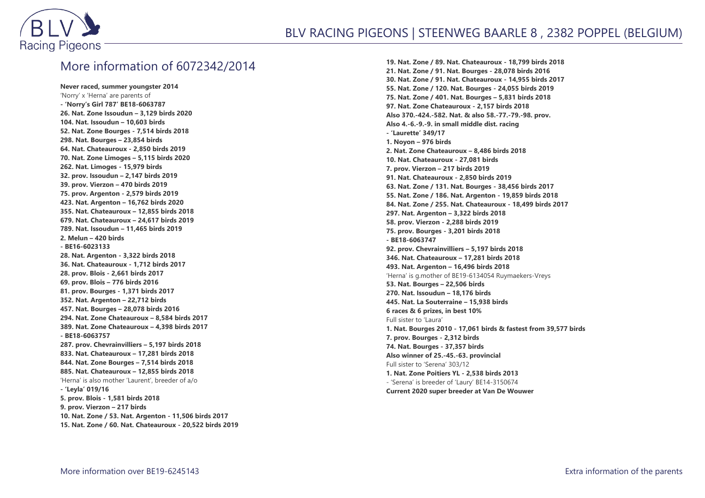

## More information of 6072342/2014

**Never raced, summer youngster 2014** 'Norry' x 'Herna' are parents of **- 'Norry's Girl 787' BE18-6063787 26. Nat. Zone Issoudun – 3,129 birds 2020 104. Nat. Issoudun – 10,603 birds 52. Nat. Zone Bourges - 7,514 birds 2018 298. Nat. Bourges – 23,854 birds 64. Nat. Chateauroux - 2,850 birds 2019 70. Nat. Zone Limoges – 5,115 birds 2020 262. Nat. Limoges - 15,979 birds 32. prov. Issoudun – 2,147 birds 2019 39. prov. Vierzon – 470 birds 2019 75. prov. Argenton - 2,579 birds 2019 423. Nat. Argenton – 16,762 birds 2020 355. Nat. Chateauroux – 12,855 birds 2018 679. Nat. Chateauroux – 24,617 birds 2019 789. Nat. Issoudun – 11,465 birds 2019 2. Melun – 420 birds - BE16-6023133 28. Nat. Argenton - 3,322 birds 2018 36. Nat. Chateauroux - 1,712 birds 2017 28. prov. Blois - 2,661 birds 2017 69. prov. Blois – 776 birds 2016 81. prov. Bourges - 1,371 birds 2017 352. Nat. Argenton – 22,712 birds 457. Nat. Bourges – 28,078 birds 2016 294. Nat. Zone Chateauroux – 8,584 birds 2017 389. Nat. Zone Chateauroux – 4,398 birds 2017 - BE18-6063757 287. prov. Chevrainvilliers – 5,197 birds 2018 833. Nat. Chateauroux – 17,281 birds 2018 844. Nat. Zone Bourges – 7,514 birds 2018 885. Nat. Chateauroux – 12,855 birds 2018** 'Herna' is also mother 'Laurent', breeder of a/o **- 'Leyla' 019/16 5. prov. Blois - 1,581 birds 2018 9. prov. Vierzon – 217 birds 10. Nat. Zone / 53. Nat. Argenton - 11,506 birds 2017 15. Nat. Zone / 60. Nat. Chateauroux - 20,522 birds 2019**

**19. Nat. Zone / 89. Nat. Chateauroux - 18,799 birds 2018 21. Nat. Zone / 91. Nat. Bourges - 28,078 birds 2016 30. Nat. Zone / 91. Nat. Chateauroux - 14,955 birds 2017 55. Nat. Zone / 120. Nat. Bourges - 24,055 birds 2019 75. Nat. Zone / 401. Nat. Bourges – 5,831 birds 2018 97. Nat. Zone Chateauroux - 2,157 birds 2018 Also 370.-424.-582. Nat. & also 58.-77.-79.-98. prov. Also 4.-6.-9.-9. in small middle dist. racing - 'Laurette' 349/17 1. Noyon – 976 birds 2. Nat. Zone Chateauroux – 8,486 birds 2018 10. Nat. Chateauroux - 27,081 birds 7. prov. Vierzon – 217 birds 2019 91. Nat. Chateauroux - 2,850 birds 2019 63. Nat. Zone / 131. Nat. Bourges - 38,456 birds 2017 55. Nat. Zone / 186. Nat. Argenton - 19,859 birds 2018 84. Nat. Zone / 255. Nat. Chateauroux - 18,499 birds 2017 297. Nat. Argenton – 3,322 birds 2018 58. prov. Vierzon - 2,288 birds 2019 75. prov. Bourges - 3,201 birds 2018 - BE18-6063747 92. prov. Chevrainvilliers – 5,197 birds 2018 346. Nat. Chateauroux – 17,281 birds 2018 493. Nat. Argenton – 16,496 birds 2018** 'Herna' is g.mother of BE19-6134054 Ruymaekers-Vreys **53. Nat. Bourges – 22,506 birds 270. Nat. Issoudun – 18,176 birds 445. Nat. La Souterraine – 15,938 birds 6 races & 6 prizes, in best 10%** Full sister to 'Laura' **1. Nat. Bourges 2010 - 17,061 birds & fastest from 39,577 birds 7. prov. Bourges - 2,312 birds 74. Nat. Bourges - 37,357 birds Also winner of 25.-45.-63. provincial** Full sister to 'Serena' 303/12 **1. Nat. Zone Poitiers YL - 2,538 birds 2013** - 'Serena' is breeder of 'Laury' BE14-3150674 **Current 2020 super breeder at Van De Wouwer**